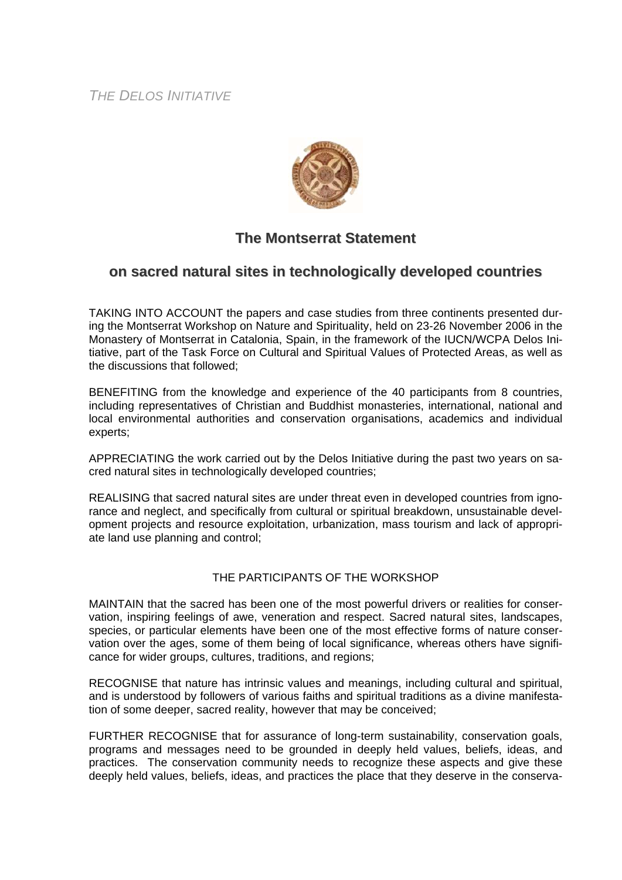*THE DELOS INITIATIVE*



## **The Montserrat Statement**

## **on sacred natural sites in technologically developed countries**

TAKING INTO ACCOUNT the papers and case studies from three continents presented during the Montserrat Workshop on Nature and Spirituality, held on 23-26 November 2006 in the Monastery of Montserrat in Catalonia, Spain, in the framework of the IUCN/WCPA Delos Initiative, part of the Task Force on Cultural and Spiritual Values of Protected Areas, as well as the discussions that followed;

BENEFITING from the knowledge and experience of the 40 participants from 8 countries, including representatives of Christian and Buddhist monasteries, international, national and local environmental authorities and conservation organisations, academics and individual experts;

APPRECIATING the work carried out by the Delos Initiative during the past two years on sacred natural sites in technologically developed countries;

REALISING that sacred natural sites are under threat even in developed countries from ignorance and neglect, and specifically from cultural or spiritual breakdown, unsustainable development projects and resource exploitation, urbanization, mass tourism and lack of appropriate land use planning and control;

## THE PARTICIPANTS OF THE WORKSHOP

MAINTAIN that the sacred has been one of the most powerful drivers or realities for conservation, inspiring feelings of awe, veneration and respect. Sacred natural sites, landscapes, species, or particular elements have been one of the most effective forms of nature conservation over the ages, some of them being of local significance, whereas others have significance for wider groups, cultures, traditions, and regions;

RECOGNISE that nature has intrinsic values and meanings, including cultural and spiritual, and is understood by followers of various faiths and spiritual traditions as a divine manifestation of some deeper, sacred reality, however that may be conceived;

FURTHER RECOGNISE that for assurance of long-term sustainability, conservation goals, programs and messages need to be grounded in deeply held values, beliefs, ideas, and practices. The conservation community needs to recognize these aspects and give these deeply held values, beliefs, ideas, and practices the place that they deserve in the conserva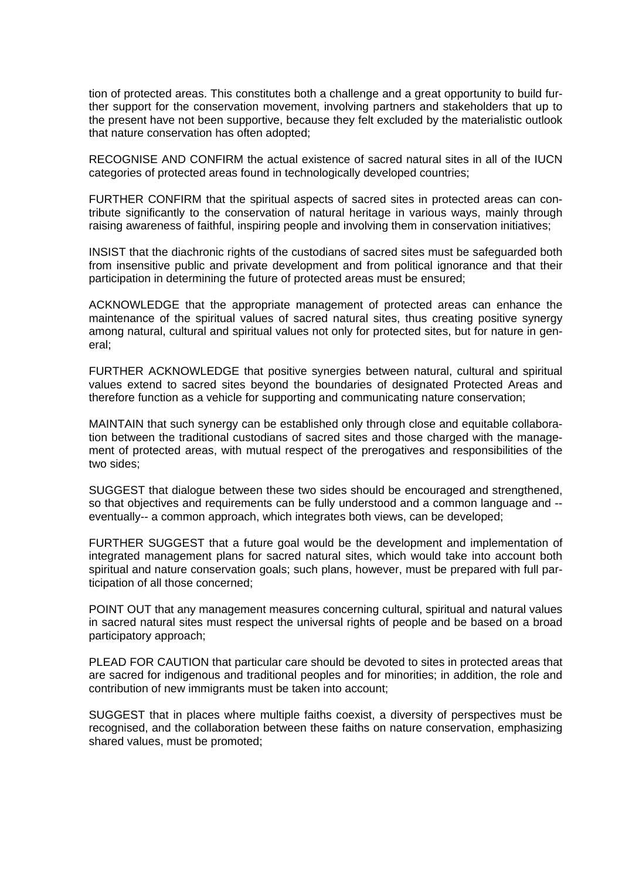tion of protected areas. This constitutes both a challenge and a great opportunity to build further support for the conservation movement, involving partners and stakeholders that up to the present have not been supportive, because they felt excluded by the materialistic outlook that nature conservation has often adopted;

RECOGNISE AND CONFIRM the actual existence of sacred natural sites in all of the IUCN categories of protected areas found in technologically developed countries;

FURTHER CONFIRM that the spiritual aspects of sacred sites in protected areas can contribute significantly to the conservation of natural heritage in various ways, mainly through raising awareness of faithful, inspiring people and involving them in conservation initiatives;

INSIST that the diachronic rights of the custodians of sacred sites must be safeguarded both from insensitive public and private development and from political ignorance and that their participation in determining the future of protected areas must be ensured;

ACKNOWLEDGE that the appropriate management of protected areas can enhance the maintenance of the spiritual values of sacred natural sites, thus creating positive synergy among natural, cultural and spiritual values not only for protected sites, but for nature in general;

FURTHER ACKNOWLEDGE that positive synergies between natural, cultural and spiritual values extend to sacred sites beyond the boundaries of designated Protected Areas and therefore function as a vehicle for supporting and communicating nature conservation;

MAINTAIN that such synergy can be established only through close and equitable collaboration between the traditional custodians of sacred sites and those charged with the management of protected areas, with mutual respect of the prerogatives and responsibilities of the two sides;

SUGGEST that dialogue between these two sides should be encouraged and strengthened, so that objectives and requirements can be fully understood and a common language and - eventually-- a common approach, which integrates both views, can be developed;

FURTHER SUGGEST that a future goal would be the development and implementation of integrated management plans for sacred natural sites, which would take into account both spiritual and nature conservation goals; such plans, however, must be prepared with full participation of all those concerned;

POINT OUT that any management measures concerning cultural, spiritual and natural values in sacred natural sites must respect the universal rights of people and be based on a broad participatory approach;

PLEAD FOR CAUTION that particular care should be devoted to sites in protected areas that are sacred for indigenous and traditional peoples and for minorities; in addition, the role and contribution of new immigrants must be taken into account;

SUGGEST that in places where multiple faiths coexist, a diversity of perspectives must be recognised, and the collaboration between these faiths on nature conservation, emphasizing shared values, must be promoted;